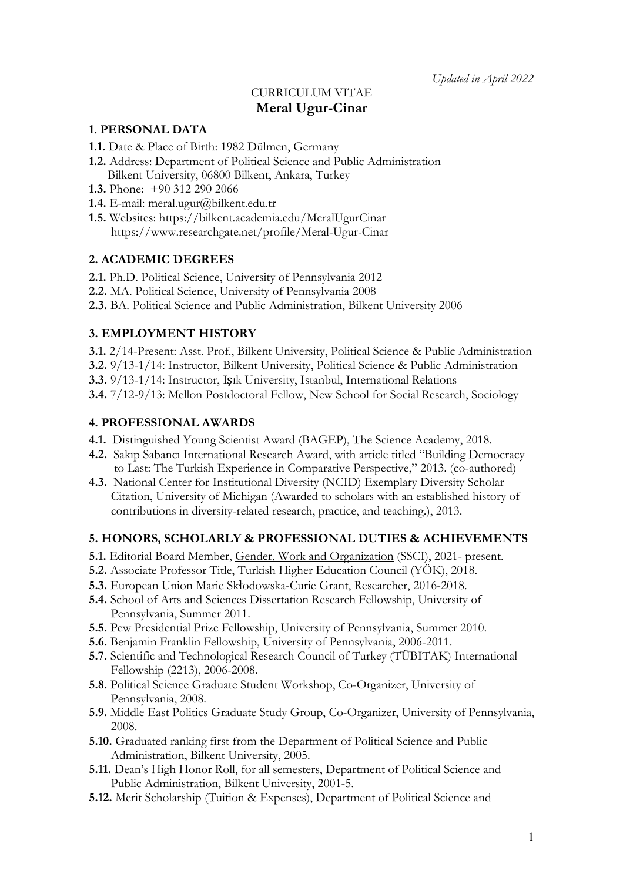# CURRICULUM VITAE **Meral Ugur-Cinar**

## **1. PERSONAL DATA**

- **1.1.** Date & Place of Birth: 1982 Dülmen, Germany
- **1.2.** Address: Department of Political Science and Public Administration Bilkent University, 06800 Bilkent, Ankara, Turkey
- **1.3.** Phone: +90 312 290 2066
- **1.4.** E-mail: meral.ugur@bilkent.edu.tr
- **1.5.** Websites: https://bilkent.academia.edu/MeralUgurCinar https://www.researchgate.net/profile/Meral-Ugur-Cinar

### **2. ACADEMIC DEGREES**

- **2.1.** Ph.D. Political Science, University of Pennsylvania 2012
- **2.2.** MA. Political Science, University of Pennsylvania 2008
- **2.3.** BA. Political Science and Public Administration, Bilkent University 2006

### **3. EMPLOYMENT HISTORY**

- **3.1.** 2/14-Present: Asst. Prof., Bilkent University, Political Science & Public Administration
- **3.2.** 9/13-1/14: Instructor, Bilkent University, Political Science & Public Administration
- **3.3.** 9/13-1/14: Instructor, Işık University, Istanbul, International Relations
- **3.4.** 7/12-9/13: Mellon Postdoctoral Fellow, New School for Social Research, Sociology

### **4. PROFESSIONAL AWARDS**

- **4.1.** Distinguished Young Scientist Award (BAGEP), The Science Academy, 2018.
- **4.2.** Sakıp Sabancı International Research Award, with article titled "Building Democracy to Last: The Turkish Experience in Comparative Perspective," 2013. (co-authored)
- **4.3.** National Center for Institutional Diversity (NCID) Exemplary Diversity Scholar Citation, University of Michigan (Awarded to scholars with an established history of contributions in diversity-related research, practice, and teaching.), 2013.

#### **5. HONORS, SCHOLARLY & PROFESSIONAL DUTIES & ACHIEVEMENTS**

- **5.1.** Editorial Board Member, Gender, Work and Organization (SSCI), 2021- present.
- **5.2.** Associate Professor Title, Turkish Higher Education Council (YÖK), 2018.
- **5.3.** European Union Marie Skłodowska-Curie Grant, Researcher, 2016-2018.
- **5.4.** School of Arts and Sciences Dissertation Research Fellowship, University of Pennsylvania, Summer 2011.
- **5.5.** Pew Presidential Prize Fellowship, University of Pennsylvania, Summer 2010.
- **5.6.** Benjamin Franklin Fellowship, University of Pennsylvania, 2006-2011.
- **5.7.** Scientific and Technological Research Council of Turkey (TÜBITAK) International Fellowship (2213), 2006-2008.
- **5.8.** Political Science Graduate Student Workshop, Co-Organizer, University of Pennsylvania, 2008.
- **5.9.** Middle East Politics Graduate Study Group, Co-Organizer, University of Pennsylvania, 2008.
- **5.10.** Graduated ranking first from the Department of Political Science and Public Administration, Bilkent University, 2005.
- **5.11.** Dean's High Honor Roll, for all semesters, Department of Political Science and Public Administration, Bilkent University, 2001-5.
- **5.12.** Merit Scholarship (Tuition & Expenses), Department of Political Science and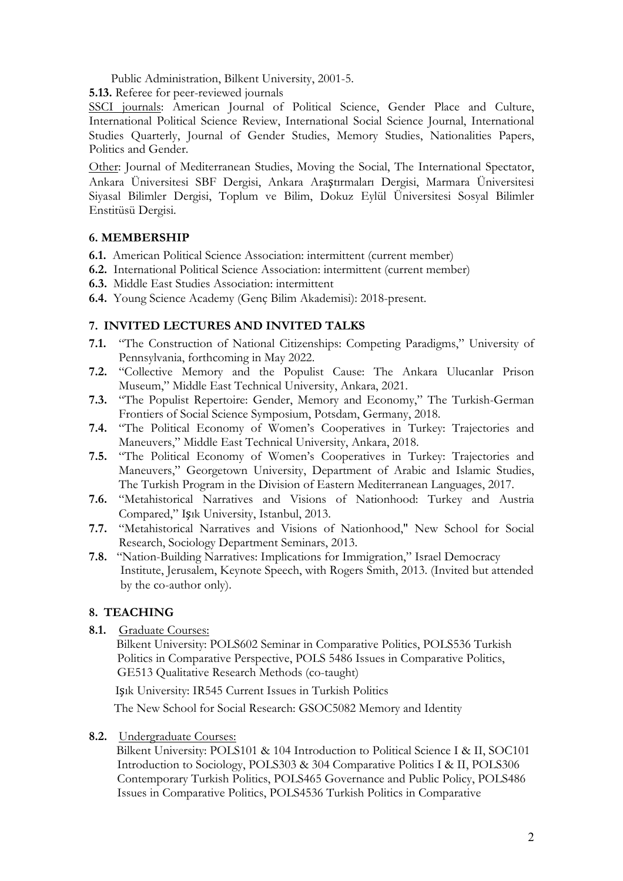Public Administration, Bilkent University, 2001-5.

**5.13.** Referee for peer-reviewed journals

SSCI journals: American Journal of Political Science, Gender Place and Culture, International Political Science Review, International Social Science Journal, International Studies Quarterly, Journal of Gender Studies, Memory Studies, Nationalities Papers, Politics and Gender.

Other: Journal of Mediterranean Studies, Moving the Social, The International Spectator, Ankara Üniversitesi SBF Dergisi, Ankara Araştırmaları Dergisi, Marmara Üniversitesi Siyasal Bilimler Dergisi, Toplum ve Bilim, Dokuz Eylül Üniversitesi Sosyal Bilimler Enstitüsü Dergisi.

## **6. MEMBERSHIP**

- **6.1.** American Political Science Association: intermittent (current member)
- **6.2.** International Political Science Association: intermittent (current member)
- **6.3.** Middle East Studies Association: intermittent
- **6.4.** Young Science Academy (Genç Bilim Akademisi): 2018-present.

## **7. INVITED LECTURES AND INVITED TALKS**

- **7.1.** "The Construction of National Citizenships: Competing Paradigms," University of Pennsylvania, forthcoming in May 2022.
- **7.2.** "Collective Memory and the Populist Cause: The Ankara Ulucanlar Prison Museum," Middle East Technical University, Ankara, 2021.
- **7.3.** "The Populist Repertoire: Gender, Memory and Economy," The Turkish-German Frontiers of Social Science Symposium, Potsdam, Germany, 2018.
- **7.4.** "The Political Economy of Women's Cooperatives in Turkey: Trajectories and Maneuvers," Middle East Technical University, Ankara, 2018.
- **7.5.** "The Political Economy of Women's Cooperatives in Turkey: Trajectories and Maneuvers," Georgetown University, Department of Arabic and Islamic Studies, The Turkish Program in the Division of Eastern Mediterranean Languages, 2017.
- **7.6.** "Metahistorical Narratives and Visions of Nationhood: Turkey and Austria Compared," Işık University, Istanbul, 2013.
- **7.7.** "Metahistorical Narratives and Visions of Nationhood," New School for Social Research, Sociology Department Seminars, 2013.
- **7.8.** "Nation-Building Narratives: Implications for Immigration," Israel Democracy Institute, Jerusalem, Keynote Speech, with Rogers Smith, 2013. (Invited but attended by the co-author only).

## **8. TEACHING**

**8.1.** Graduate Courses:

 Bilkent University: POLS602 Seminar in Comparative Politics, POLS536 Turkish Politics in Comparative Perspective, POLS 5486 Issues in Comparative Politics, GE513 Qualitative Research Methods (co-taught)

Işık University: IR545 Current Issues in Turkish Politics

The New School for Social Research: GSOC5082 Memory and Identity

**8.2.** Undergraduate Courses:

 Bilkent University: POLS101 & 104 Introduction to Political Science I & II, SOC101 Introduction to Sociology, POLS303 & 304 Comparative Politics I & II, POLS306 Contemporary Turkish Politics, POLS465 Governance and Public Policy, POLS486 Issues in Comparative Politics, POLS4536 Turkish Politics in Comparative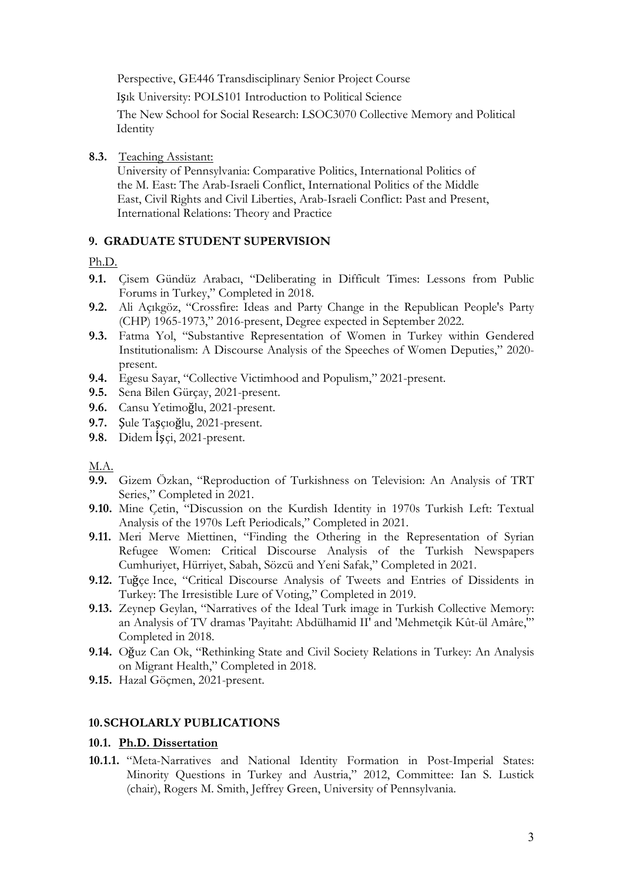Perspective, GE446 Transdisciplinary Senior Project Course

Işık University: POLS101 Introduction to Political Science

 The New School for Social Research: LSOC3070 Collective Memory and Political **Identity** 

## **8.3.** Teaching Assistant:

 University of Pennsylvania: Comparative Politics, International Politics of the M. East: The Arab-Israeli Conflict, International Politics of the Middle East, Civil Rights and Civil Liberties, Arab-Israeli Conflict: Past and Present, International Relations: Theory and Practice

## **9. GRADUATE STUDENT SUPERVISION**

## Ph.D.

- **9.1.** Çisem Gündüz Arabacı, "Deliberating in Difficult Times: Lessons from Public Forums in Turkey," Completed in 2018.
- **9.2.** Ali Açıkgöz, "Crossfire: Ideas and Party Change in the Republican People's Party (CHP) 1965-1973," 2016-present, Degree expected in September 2022.
- **9.3.** Fatma Yol, "Substantive Representation of Women in Turkey within Gendered Institutionalism: A Discourse Analysis of the Speeches of Women Deputies," 2020 present.
- **9.4.** Egesu Sayar, "Collective Victimhood and Populism," 2021-present.
- **9.5.** Sena Bilen Gürçay, 2021-present.
- **9.6.** Cansu Yetimoğlu, 2021-present.
- **9.7.** Şule Taşçıoğlu, 2021-present.
- **9.8.** Didem İşçi, 2021-present.

## M.A.

- **9.9.** Gizem Özkan, "Reproduction of Turkishness on Television: An Analysis of TRT Series," Completed in 2021.
- **9.10.** Mine Çetin, "Discussion on the Kurdish Identity in 1970s Turkish Left: Textual Analysis of the 1970s Left Periodicals," Completed in 2021.
- **9.11.** Meri Merve Miettinen, "Finding the Othering in the Representation of Syrian Refugee Women: Critical Discourse Analysis of the Turkish Newspapers Cumhuriyet, Hürriyet, Sabah, Sözcü and Yeni Safak," Completed in 2021.
- **9.12.** Tuğçe Ince, "Critical Discourse Analysis of Tweets and Entries of Dissidents in Turkey: The Irresistible Lure of Voting," Completed in 2019.
- **9.13.** Zeynep Geylan, "Narratives of the Ideal Turk image in Turkish Collective Memory: an Analysis of TV dramas 'Payitaht: Abdülhamid II' and 'Mehmetçik Kût-ül Amâre,'" Completed in 2018.
- **9.14.** Oğuz Can Ok, "Rethinking State and Civil Society Relations in Turkey: An Analysis on Migrant Health," Completed in 2018.
- **9.15.** Hazal Göçmen, 2021-present.

## **10.SCHOLARLY PUBLICATIONS**

### **10.1. Ph.D. Dissertation**

**10.1.1.** "Meta-Narratives and National Identity Formation in Post-Imperial States: Minority Questions in Turkey and Austria," 2012, Committee: Ian S. Lustick (chair), Rogers M. Smith, Jeffrey Green, University of Pennsylvania.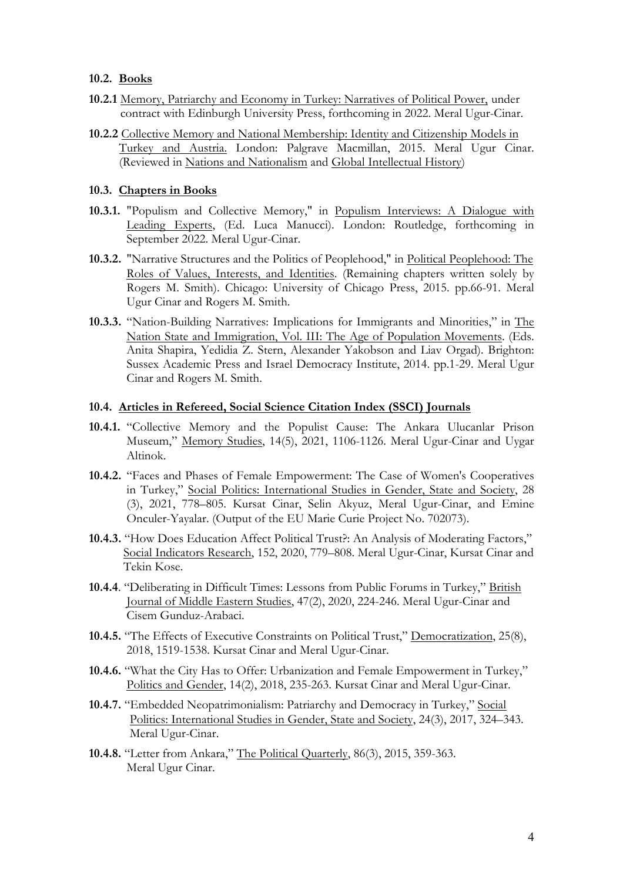### **10.2. Books**

- **10.2.1** Memory, Patriarchy and Economy in Turkey: Narratives of Political Power, under contract with Edinburgh University Press, forthcoming in 2022. Meral Ugur-Cinar.
- **10.2.2** Collective Memory and National Membership: Identity and Citizenship Models in Turkey and Austria. London: Palgrave Macmillan, 2015. Meral Ugur Cinar. (Reviewed in Nations and Nationalism and Global Intellectual History)

### **10.3. Chapters in Books**

- **10.3.1.** "Populism and Collective Memory," in Populism Interviews: A Dialogue with Leading Experts, (Ed. Luca Manucci). London: Routledge, forthcoming in September 2022. Meral Ugur-Cinar.
- **10.3.2.** "Narrative Structures and the Politics of Peoplehood," in Political Peoplehood: The Roles of Values, Interests, and Identities. (Remaining chapters written solely by Rogers M. Smith). Chicago: University of Chicago Press, 2015. pp.66-91. Meral Ugur Cinar and Rogers M. Smith.
- **10.3.3.** "Nation-Building Narratives: Implications for Immigrants and Minorities," in The Nation State and Immigration, Vol. III: The Age of Population Movements. (Eds. Anita Shapira, Yedidia Z. Stern, Alexander Yakobson and Liav Orgad). Brighton: Sussex Academic Press and Israel Democracy Institute, 2014. pp.1-29. Meral Ugur Cinar and Rogers M. Smith.

### **10.4. Articles in Refereed, Social Science Citation Index (SSCI) Journals**

- **10.4.1.** "Collective Memory and the Populist Cause: The Ankara Ulucanlar Prison Museum," Memory Studies, 14(5), 2021, 1106-1126. Meral Ugur-Cinar and Uygar Altinok.
- **10.4.2.** "Faces and Phases of Female Empowerment: The Case of Women's Cooperatives in Turkey," Social Politics: International Studies in Gender, State and Society, 28 (3), 2021, 778–805. Kursat Cinar, Selin Akyuz, Meral Ugur-Cinar, and Emine Onculer-Yayalar. (Output of the EU Marie Curie Project No. 702073).
- **10.4.3.** "How Does Education Affect Political Trust?: An Analysis of Moderating Factors," Social Indicators Research, 152, 2020, 779–808. Meral Ugur-Cinar, Kursat Cinar and Tekin Kose.
- **10.4.4**. "Deliberating in Difficult Times: Lessons from Public Forums in Turkey," British Journal of Middle Eastern Studies, 47(2), 2020, 224-246. Meral Ugur-Cinar and Cisem Gunduz-Arabaci.
- **10.4.5.** "The Effects of Executive Constraints on Political Trust," Democratization, 25(8), 2018, 1519-1538. Kursat Cinar and Meral Ugur-Cinar.
- **10.4.6.** "What the City Has to Offer: Urbanization and Female Empowerment in Turkey," Politics and Gender, 14(2), 2018, 235-263. Kursat Cinar and Meral Ugur-Cinar.
- **10.4.7.** "Embedded Neopatrimonialism: Patriarchy and Democracy in Turkey," Social Politics: International Studies in Gender, State and Society, 24(3), 2017, 324–343. Meral Ugur-Cinar.
- **10.4.8.** "Letter from Ankara," The Political Quarterly, 86(3), 2015, 359-363. Meral Ugur Cinar.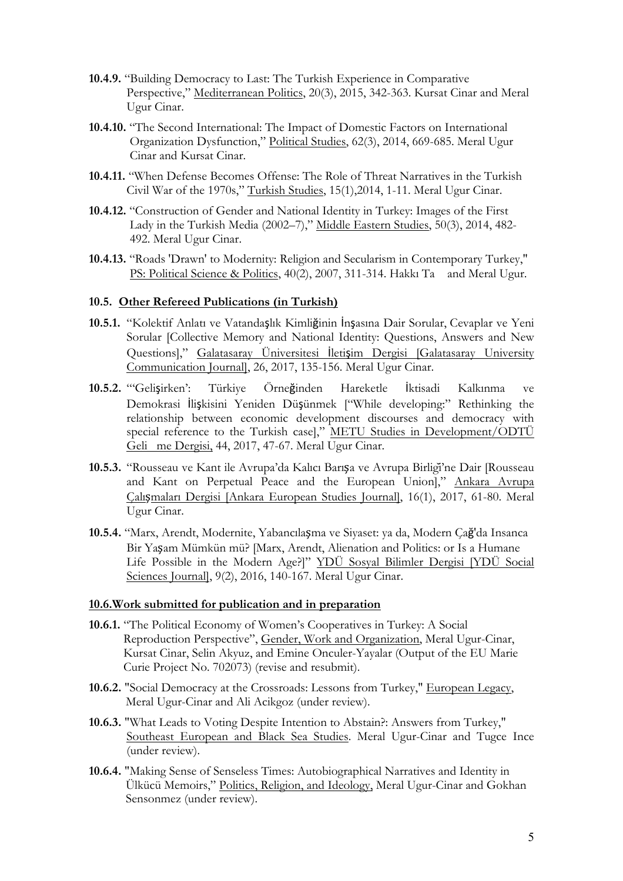- **10.4.9.** "Building Democracy to Last: The Turkish Experience in Comparative Perspective," Mediterranean Politics, 20(3), 2015, 342-363. Kursat Cinar and Meral Ugur Cinar.
- **10.4.10.** "The Second International: The Impact of Domestic Factors on International Organization Dysfunction," Political Studies, 62(3), 2014, 669-685. Meral Ugur Cinar and Kursat Cinar.
- **10.4.11.** "When Defense Becomes Offense: The Role of Threat Narratives in the Turkish Civil War of the 1970s," Turkish Studies, 15(1),2014, 1-11. Meral Ugur Cinar.
- **10.4.12.** "Construction of Gender and National Identity in Turkey: Images of the First Lady in the Turkish Media (2002–7)," Middle Eastern Studies, 50(3), 2014, 482- 492. Meral Ugur Cinar.
- **10.4.13.** "Roads 'Drawn' to Modernity: Religion and Secularism in Contemporary Turkey," PS: Political Science & Politics, 40(2), 2007, 311-314. Hakkı Ta and Meral Ugur.

### **10.5. Other Refereed Publications (in Turkish)**

- **10.5.1.** "Kolektif Anlatı ve Vatandaşlık Kimliğinin İnşasına Dair Sorular, Cevaplar ve Yeni Sorular [Collective Memory and National Identity: Questions, Answers and New Questions]," Galatasaray Üniversitesi İletişim Dergisi [Galatasaray University Communication Journal], 26, 2017, 135-156. Meral Ugur Cinar.
- **10.5.2.** "'Gelişirken': Türkiye Örneğinden Hareketle İktisadi Kalkınma ve Demokrasi İlişkisini Yeniden Düşünmek ["While developing:" Rethinking the relationship between economic development discourses and democracy with special reference to the Turkish case]," METU Studies in Development/ODTÜ Gelime Dergisi, 44, 2017, 47-67. Meral Ugur Cinar.
- **10.5.3.** "Rousseau ve Kant ile Avrupa'da Kalıcı Barışa ve Avrupa Birliği'ne Dair [Rousseau and Kant on Perpetual Peace and the European Union]," Ankara Avrupa Çalışmaları Dergisi [Ankara European Studies Journal], 16(1), 2017, 61-80. Meral Ugur Cinar.
- **10.5.4.** "Marx, Arendt, Modernite, Yabancılaşma ve Siyaset: ya da, Modern Çağ'da Insanca Bir Yaşam Mümkün mü? [Marx, Arendt, Alienation and Politics: or Is a Humane Life Possible in the Modern Age?]" YDÜ Sosyal Bilimler Dergisi [YDÜ Social Sciences Journal], 9(2), 2016, 140-167. Meral Ugur Cinar.

#### **10.6.Work submitted for publication and in preparation**

- **10.6.1.** "The Political Economy of Women's Cooperatives in Turkey: A Social Reproduction Perspective", Gender, Work and Organization, Meral Ugur-Cinar, Kursat Cinar, Selin Akyuz, and Emine Onculer-Yayalar (Output of the EU Marie Curie Project No. 702073) (revise and resubmit).
- **10.6.2.** "Social Democracy at the Crossroads: Lessons from Turkey," European Legacy, Meral Ugur-Cinar and Ali Acikgoz (under review).
- **10.6.3.** "What Leads to Voting Despite Intention to Abstain?: Answers from Turkey," Southeast European and Black Sea Studies. Meral Ugur-Cinar and Tugce Ince (under review).
- **10.6.4.** "Making Sense of Senseless Times: Autobiographical Narratives and Identity in Ülkücü Memoirs," Politics, Religion, and Ideology, Meral Ugur-Cinar and Gokhan Sensonmez (under review).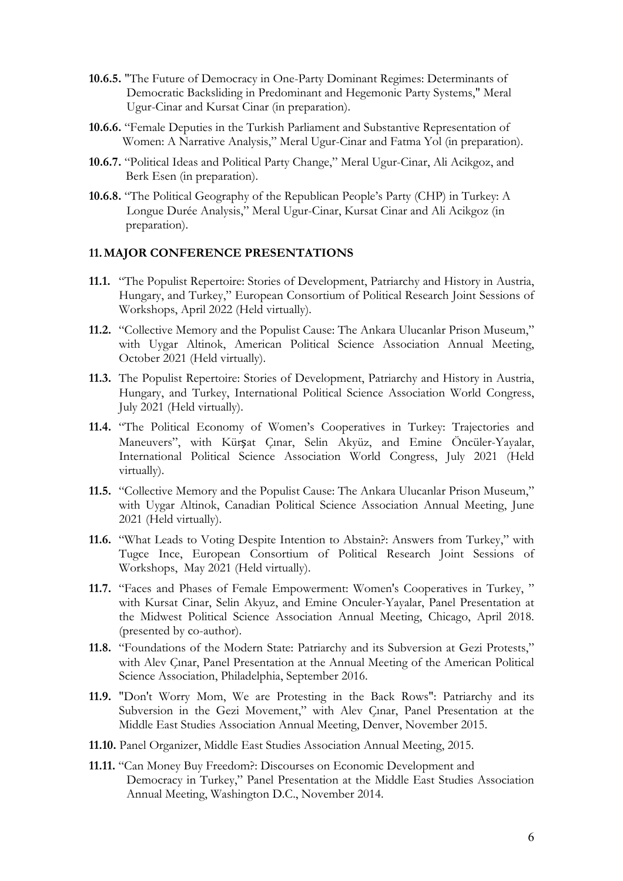- **10.6.5.** "The Future of Democracy in One-Party Dominant Regimes: Determinants of Democratic Backsliding in Predominant and Hegemonic Party Systems," Meral Ugur-Cinar and Kursat Cinar (in preparation).
- **10.6.6.** "Female Deputies in the Turkish Parliament and Substantive Representation of Women: A Narrative Analysis," Meral Ugur-Cinar and Fatma Yol (in preparation).
- **10.6.7.** "Political Ideas and Political Party Change," Meral Ugur-Cinar, Ali Acikgoz, and Berk Esen (in preparation).
- **10.6.8.** "The Political Geography of the Republican People's Party (CHP) in Turkey: A Longue Durée Analysis," Meral Ugur-Cinar, Kursat Cinar and Ali Acikgoz (in preparation).

### **11.MAJOR CONFERENCE PRESENTATIONS**

- **11.1.** "The Populist Repertoire: Stories of Development, Patriarchy and History in Austria, Hungary, and Turkey," European Consortium of Political Research Joint Sessions of Workshops, April 2022 (Held virtually).
- **11.2.** "Collective Memory and the Populist Cause: The Ankara Ulucanlar Prison Museum," with Uygar Altinok, American Political Science Association Annual Meeting, October 2021 (Held virtually).
- **11.3.** The Populist Repertoire: Stories of Development, Patriarchy and History in Austria, Hungary, and Turkey, International Political Science Association World Congress, July 2021 (Held virtually).
- **11.4.** "The Political Economy of Women's Cooperatives in Turkey: Trajectories and Maneuvers", with Kürşat Çınar, Selin Akyüz, and Emine Öncüler-Yayalar, International Political Science Association World Congress, July 2021 (Held virtually).
- **11.5.** "Collective Memory and the Populist Cause: The Ankara Ulucanlar Prison Museum," with Uygar Altinok, Canadian Political Science Association Annual Meeting, June 2021 (Held virtually).
- **11.6.** "What Leads to Voting Despite Intention to Abstain?: Answers from Turkey," with Tugce Ince, European Consortium of Political Research Joint Sessions of Workshops, May 2021 (Held virtually).
- **11.7.** "Faces and Phases of Female Empowerment: Women's Cooperatives in Turkey, " with Kursat Cinar, Selin Akyuz, and Emine Onculer-Yayalar, Panel Presentation at the Midwest Political Science Association Annual Meeting, Chicago, April 2018. (presented by co-author).
- **11.8.** "Foundations of the Modern State: Patriarchy and its Subversion at Gezi Protests," with Alev Çınar, Panel Presentation at the Annual Meeting of the American Political Science Association, Philadelphia, September 2016.
- **11.9.** "Don't Worry Mom, We are Protesting in the Back Rows": Patriarchy and its Subversion in the Gezi Movement," with Alev Çınar, Panel Presentation at the Middle East Studies Association Annual Meeting, Denver, November 2015.
- **11.10.** Panel Organizer, Middle East Studies Association Annual Meeting, 2015.
- **11.11.** "Can Money Buy Freedom?: Discourses on Economic Development and Democracy in Turkey," Panel Presentation at the Middle East Studies Association Annual Meeting, Washington D.C., November 2014.